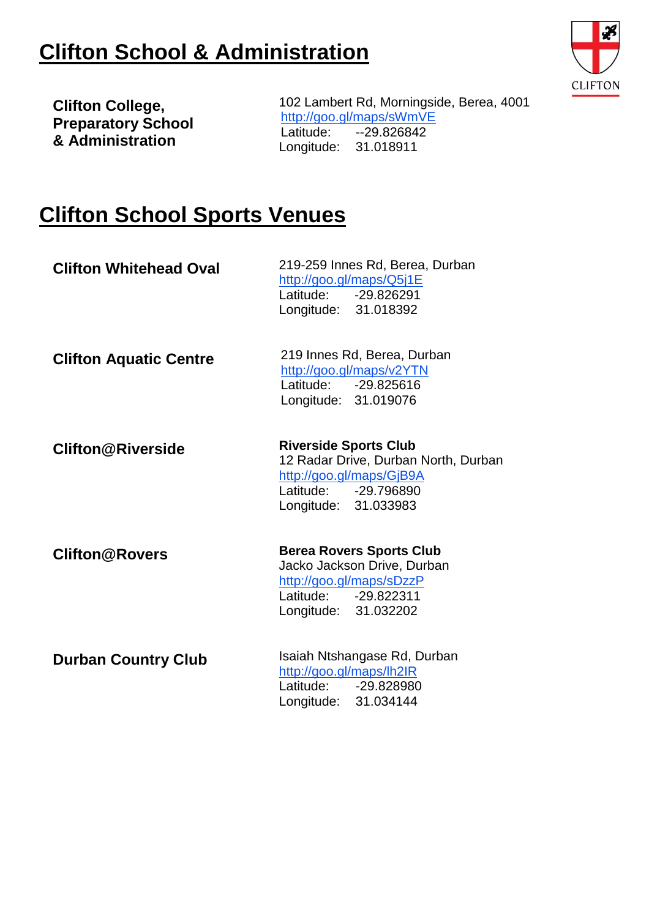## **Clifton School & Administration**



**Clifton College, Preparatory School & Administration**

102 Lambert Rd, Morningside, Berea, 4001 <http://goo.gl/maps/sWmVE> Latitude: --29.826842 Longitude: 31.018911

## **Clifton School Sports Venues**

| <b>Clifton Whitehead Oval</b> | 219-259 Innes Rd, Berea, Durban<br>http://goo.gl/maps/Q5j1E<br>Latitude: -29.826291<br>Longitude: 31.018392                                      |
|-------------------------------|--------------------------------------------------------------------------------------------------------------------------------------------------|
| <b>Clifton Aquatic Centre</b> | 219 Innes Rd, Berea, Durban<br>http://goo.gl/maps/v2YTN<br>Latitude: -29.825616<br>Longitude: 31.019076                                          |
| <b>Clifton@Riverside</b>      | <b>Riverside Sports Club</b><br>12 Radar Drive, Durban North, Durban<br>http://goo.gl/maps/GjB9A<br>Latitude: -29.796890<br>Longitude: 31.033983 |
| <b>Clifton@Rovers</b>         | <b>Berea Rovers Sports Club</b><br>Jacko Jackson Drive, Durban<br>http://goo.gl/maps/sDzzP<br>Latitude: -29.822311<br>Longitude: 31.032202       |
| <b>Durban Country Club</b>    | Isaiah Ntshangase Rd, Durban<br>http://goo.gl/maps/lh2IR<br>Latitude: -29.828980<br>Longitude: 31.034144                                         |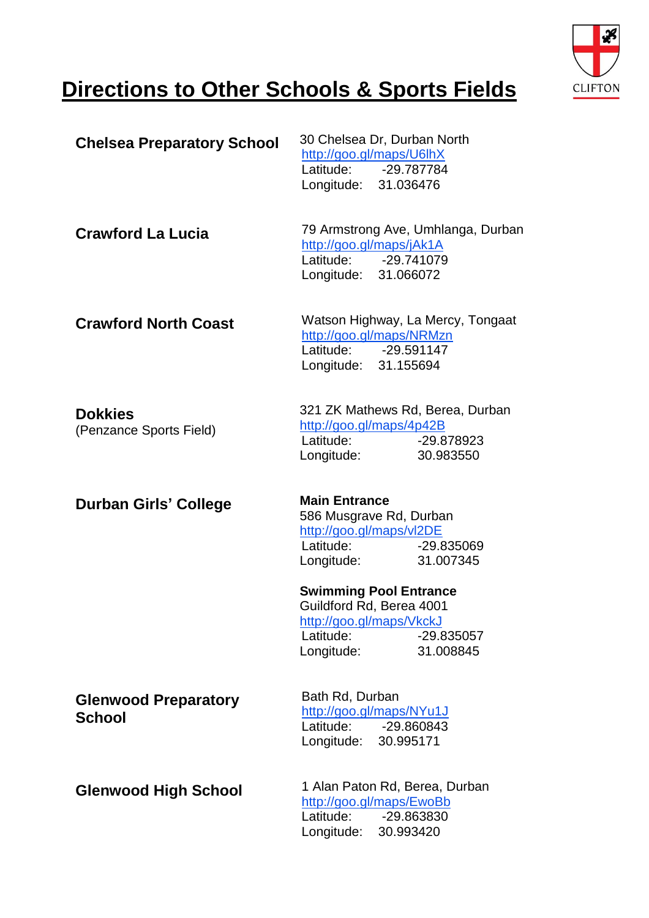

## **Directions to Other Schools & Sports Fields**

| <b>Chelsea Preparatory School</b>            | 30 Chelsea Dr, Durban North<br>http://goo.gl/maps/U6lhX<br>Latitude: -29.787784<br>Longitude: 31.036476                           |  |  |
|----------------------------------------------|-----------------------------------------------------------------------------------------------------------------------------------|--|--|
| <b>Crawford La Lucia</b>                     | 79 Armstrong Ave, Umhlanga, Durban<br>http://goo.gl/maps/jAk1A<br>Latitude: -29.741079<br>Longitude: 31.066072                    |  |  |
| <b>Crawford North Coast</b>                  | Watson Highway, La Mercy, Tongaat<br>http://goo.gl/maps/NRMzn<br>Latitude: -29.591147<br>Longitude: 31.155694                     |  |  |
| <b>Dokkies</b><br>(Penzance Sports Field)    | 321 ZK Mathews Rd, Berea, Durban<br>http://goo.gl/maps/4p42B<br>Latitude:<br>-29.878923<br>Longitude:<br>30.983550                |  |  |
| <b>Durban Girls' College</b>                 | <b>Main Entrance</b><br>586 Musgrave Rd, Durban<br>http://goo.gl/maps/vl2DE<br>Latitude:<br>-29.835069<br>Longitude:<br>31.007345 |  |  |
|                                              | <b>Swimming Pool Entrance</b>                                                                                                     |  |  |
|                                              | Guildford Rd, Berea 4001<br>http://goo.gl/maps/VkckJ<br>-29.835057<br>Latitude:<br>Longitude:<br>31.008845                        |  |  |
| <b>Glenwood Preparatory</b><br><b>School</b> | Bath Rd, Durban<br>http://goo.gl/maps/NYu1J<br>Latitude: -29.860843<br>Longitude: 30.995171                                       |  |  |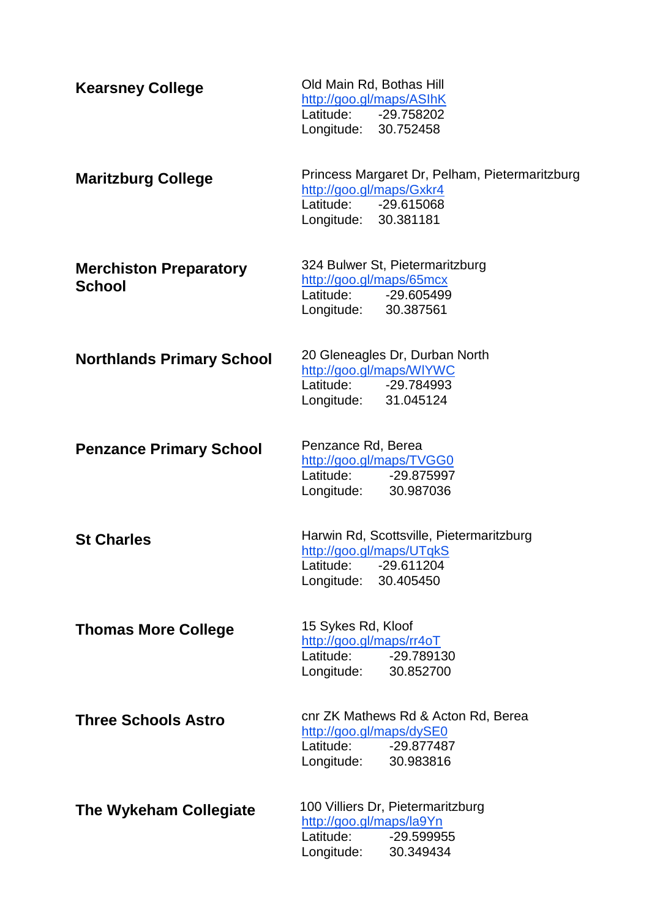| <b>Kearsney College</b>                        | Old Main Rd, Bothas Hill<br>http://goo.gl/maps/ASIhK<br>Latitude: -29.758202<br>Longitude: 30.752458                       |
|------------------------------------------------|----------------------------------------------------------------------------------------------------------------------------|
| <b>Maritzburg College</b>                      | Princess Margaret Dr, Pelham, Pietermaritzburg<br>http://goo.gl/maps/Gxkr4<br>Latitude: -29.615068<br>Longitude: 30.381181 |
| <b>Merchiston Preparatory</b><br><b>School</b> | 324 Bulwer St, Pietermaritzburg<br>http://goo.gl/maps/65mcx<br>Latitude: -29.605499<br>Longitude: 30.387561                |
| <b>Northlands Primary School</b>               | 20 Gleneagles Dr, Durban North<br>http://goo.gl/maps/WIYWC<br>Latitude: -29.784993<br>Longitude: 31.045124                 |
| <b>Penzance Primary School</b>                 | Penzance Rd, Berea<br>http://goo.gl/maps/TVGG0<br>Latitude: -29.875997<br>Longitude: 30.987036                             |
| <b>St Charles</b>                              | Harwin Rd, Scottsville, Pietermaritzburg<br>http://goo.gl/maps/UTqkS<br>Latitude: -29.611204<br>Longitude:<br>30.405450    |
| <b>Thomas More College</b>                     | 15 Sykes Rd, Kloof<br>http://goo.gl/maps/rr4oT<br>Latitude:<br>-29.789130<br>Longitude:<br>30.852700                       |
| <b>Three Schools Astro</b>                     | cnr ZK Mathews Rd & Acton Rd, Berea<br>http://goo.gl/maps/dySE0<br>Latitude:<br>-29.877487<br>Longitude:<br>30.983816      |
| The Wykeham Collegiate                         | 100 Villiers Dr, Pietermaritzburg<br>http://goo.gl/maps/la9Yn<br>Latitude:<br>-29.599955<br>Longitude:<br>30.349434        |